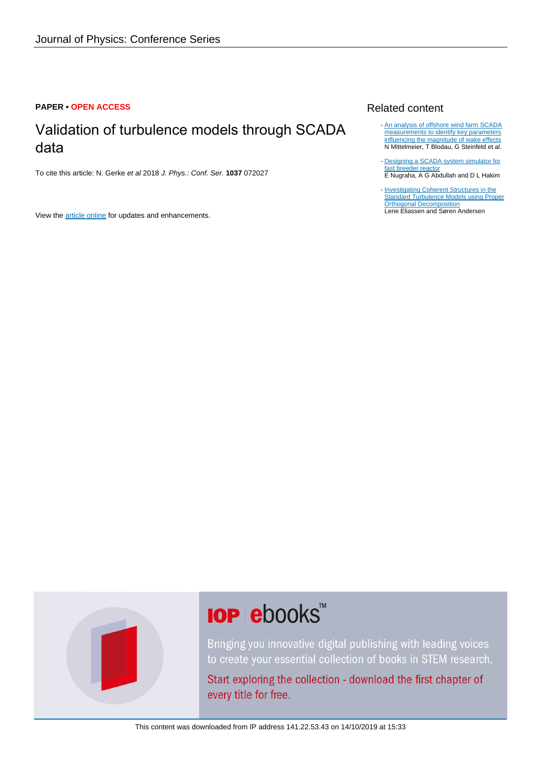#### **PAPER • OPEN ACCESS**

# Validation of turbulence models through SCADA data

To cite this article: N. Gerke et al 2018 J. Phys.: Conf. Ser. **1037** 072027

View the [article online](https://doi.org/10.1088/1742-6596/1037/7/072027) for updates and enhancements.

## Related content

- [An analysis of offshore wind farm SCADA](http://iopscience.iop.org/article/10.1088/1742-6596/753/3/032052) [measurements to identify key parameters](http://iopscience.iop.org/article/10.1088/1742-6596/753/3/032052) [influencing the magnitude of wake effects](http://iopscience.iop.org/article/10.1088/1742-6596/753/3/032052) N Mittelmeier, T Blodau, G Steinfeld et al.
- [Designing a SCADA system simulator for](http://iopscience.iop.org/article/10.1088/1757-899X/128/1/012006) [fast breeder reactor](http://iopscience.iop.org/article/10.1088/1757-899X/128/1/012006) E Nugraha, A G Abdullah and D L Hakim
- [Investigating Coherent Structures in the](http://iopscience.iop.org/article/10.1088/1742-6596/753/3/032040) **[Standard Turbulence Models using Proper](http://iopscience.iop.org/article/10.1088/1742-6596/753/3/032040)** [Orthogonal Decomposition](http://iopscience.iop.org/article/10.1088/1742-6596/753/3/032040) Lene Eliassen and Søren Andersen -



# **IOP ebooks™**

Bringing you innovative digital publishing with leading voices to create your essential collection of books in STEM research.

Start exploring the collection - download the first chapter of every title for free.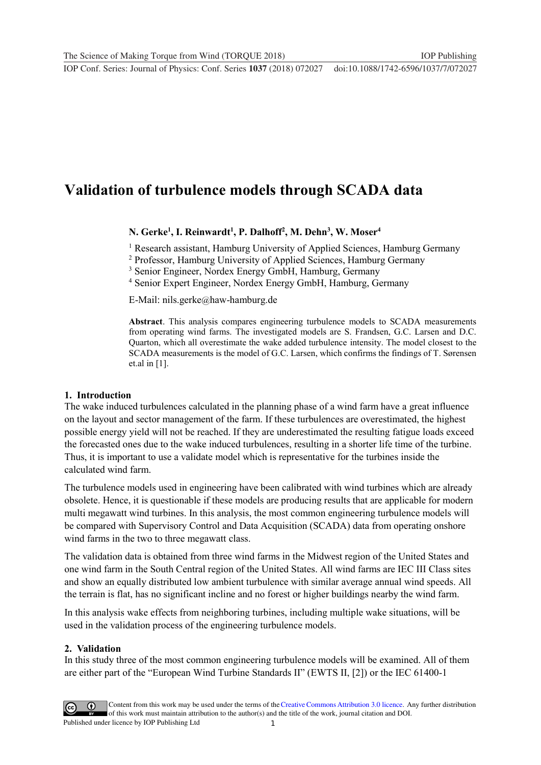# **Validation of turbulence models through SCADA data**

**N. Gerke<sup>1</sup> , I. Reinwardt<sup>1</sup> , P. Dalhoff<sup>2</sup> , M. Dehn<sup>3</sup> , W. Moser<sup>4</sup>**

<sup>1</sup> Research assistant, Hamburg University of Applied Sciences, Hamburg Germany

<sup>2</sup> Professor, Hamburg University of Applied Sciences, Hamburg Germany

<sup>3</sup> Senior Engineer, Nordex Energy GmbH, Hamburg, Germany

<sup>4</sup> Senior Expert Engineer, Nordex Energy GmbH, Hamburg, Germany

E-Mail: nils.gerke@haw-hamburg.de

**Abstract**. This analysis compares engineering turbulence models to SCADA measurements from operating wind farms. The investigated models are S. Frandsen, G.C. Larsen and D.C. Quarton, which all overestimate the wake added turbulence intensity. The model closest to the SCADA measurements is the model of G.C. Larsen, which confirms the findings of T. Sørensen et.al in [1].

#### **1. Introduction**

The wake induced turbulences calculated in the planning phase of a wind farm have a great influence on the layout and sector management of the farm. If these turbulences are overestimated, the highest possible energy yield will not be reached. If they are underestimated the resulting fatigue loads exceed the forecasted ones due to the wake induced turbulences, resulting in a shorter life time of the turbine. Thus, it is important to use a validate model which is representative for the turbines inside the calculated wind farm.

The turbulence models used in engineering have been calibrated with wind turbines which are already obsolete. Hence, it is questionable if these models are producing results that are applicable for modern multi megawatt wind turbines. In this analysis, the most common engineering turbulence models will be compared with Supervisory Control and Data Acquisition (SCADA) data from operating onshore wind farms in the two to three megawatt class.

The validation data is obtained from three wind farms in the Midwest region of the United States and one wind farm in the South Central region of the United States. All wind farms are IEC III Class sites and show an equally distributed low ambient turbulence with similar average annual wind speeds. All the terrain is flat, has no significant incline and no forest or higher buildings nearby the wind farm.

In this analysis wake effects from neighboring turbines, including multiple wake situations, will be used in the validation process of the engineering turbulence models.

#### **2. Validation**

In this study three of the most common engineering turbulence models will be examined. All of them are either part of the "European Wind Turbine Standards II" (EWTS II, [2]) or the IEC 61400-1

1 Content from this work may be used under the terms of the[Creative Commons Attribution 3.0 licence.](http://creativecommons.org/licenses/by/3.0) Any further distribution of this work must maintain attribution to the author(s) and the title of the work, journal citation and DOI. Published under licence by IOP Publishing Ltd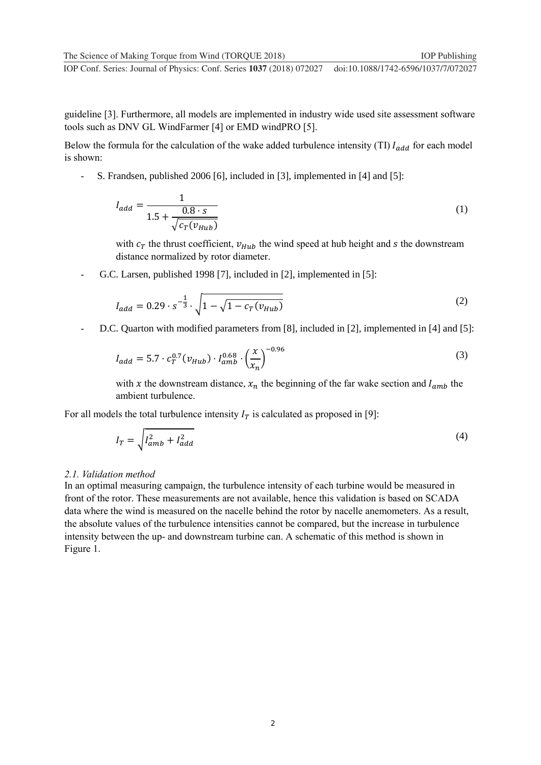guideline [3]. Furthermore, all models are implemented in industry wide used site assessment software tools such as DNV GL WindFarmer [4] or EMD windPRO [5].

Below the formula for the calculation of the wake added turbulence intensity (TI)  $I_{add}$  for each model is shown:

- S. Frandsen, published 2006 [6], included in [3], implemented in [4] and [5]:

$$
I_{add} = \frac{1}{1.5 + \frac{0.8 \cdot s}{\sqrt{c_T(v_{Hub})}}}
$$
(1)

with  $c_T$  the thrust coefficient,  $v_{Hub}$  the wind speed at hub height and s the downstream distance normalized by rotor diameter.

- G.C. Larsen, published 1998 [7], included in [2], implemented in [5]:

$$
I_{add} = 0.29 \cdot s^{-\frac{1}{3}} \cdot \sqrt{1 - \sqrt{1 - c_T(v_{Hub})}}
$$
 (2)

D.C. Quarton with modified parameters from [8], included in [2], implemented in [4] and [5]:

$$
I_{add} = 5.7 \cdot c_T^{0.7} (v_{Hub}) \cdot I_{amb}^{0.68} \cdot \left(\frac{x}{x_n}\right)^{-0.96}
$$
 (3)

with x the downstream distance,  $x_n$  the beginning of the far wake section and  $I_{amb}$  the ambient turbulence.

For all models the total turbulence intensity  $I_T$  is calculated as proposed in [9]:

$$
I_T = \sqrt{I_{amb}^2 + I_{add}^2} \tag{4}
$$

#### *2.1. Validation method*

In an optimal measuring campaign, the turbulence intensity of each turbine would be measured in front of the rotor. These measurements are not available, hence this validation is based on SCADA data where the wind is measured on the nacelle behind the rotor by nacelle anemometers. As a result, the absolute values of the turbulence intensities cannot be compared, but the increase in turbulence intensity between the up- and downstream turbine can. A schematic of this method is shown in Figure 1.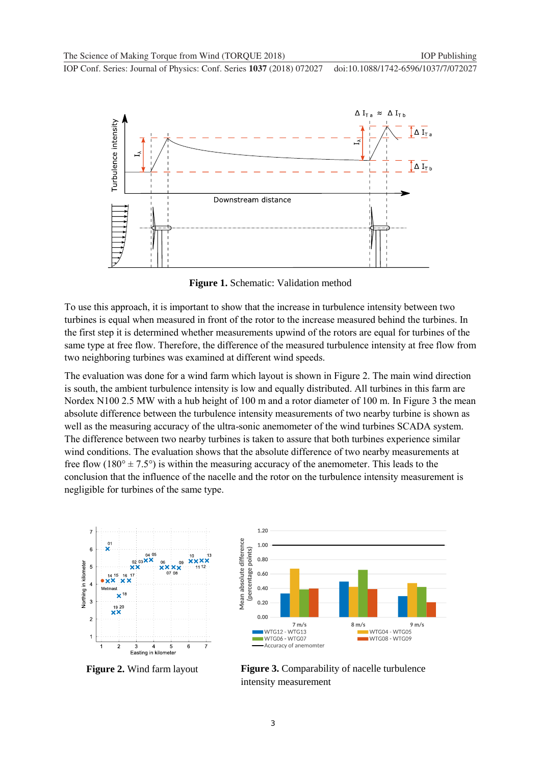

**Figure 1.** Schematic: Validation method

To use this approach, it is important to show that the increase in turbulence intensity between two turbines is equal when measured in front of the rotor to the increase measured behind the turbines. In the first step it is determined whether measurements upwind of the rotors are equal for turbines of the same type at free flow. Therefore, the difference of the measured turbulence intensity at free flow from two neighboring turbines was examined at different wind speeds.

The evaluation was done for a wind farm which layout is shown in Figure 2. The main wind direction is south, the ambient turbulence intensity is low and equally distributed. All turbines in this farm are Nordex N100 2.5 MW with a hub height of 100 m and a rotor diameter of 100 m. In Figure 3 the mean absolute difference between the turbulence intensity measurements of two nearby turbine is shown as well as the measuring accuracy of the ultra-sonic anemometer of the wind turbines SCADA system. The difference between two nearby turbines is taken to assure that both turbines experience similar wind conditions. The evaluation shows that the absolute difference of two nearby measurements at free flow (180°  $\pm$  7.5°) is within the measuring accuracy of the anemometer. This leads to the conclusion that the influence of the nacelle and the rotor on the turbulence intensity measurement is negligible for turbines of the same type.





**Figure 2.** Wind farm layout **Figure 3.** Comparability of nacelle turbulence intensity measurement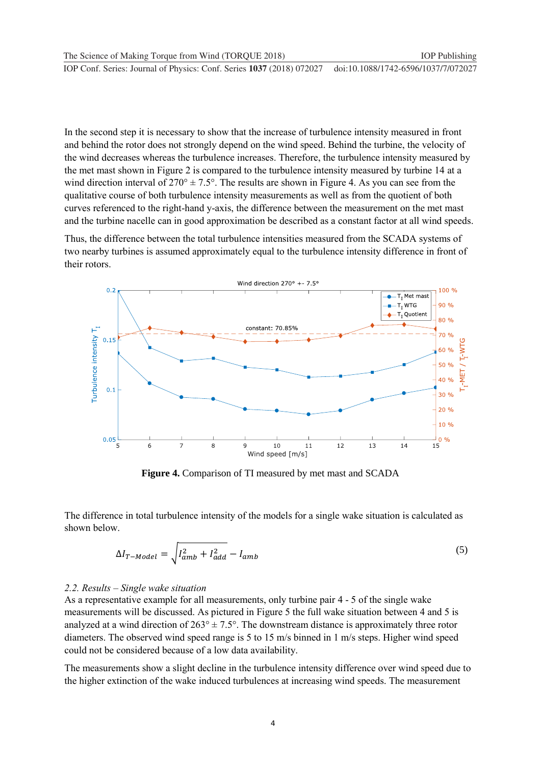In the second step it is necessary to show that the increase of turbulence intensity measured in front and behind the rotor does not strongly depend on the wind speed. Behind the turbine, the velocity of the wind decreases whereas the turbulence increases. Therefore, the turbulence intensity measured by the met mast shown in Figure 2 is compared to the turbulence intensity measured by turbine 14 at a wind direction interval of  $270^{\circ} \pm 7.5^{\circ}$ . The results are shown in Figure 4. As you can see from the qualitative course of both turbulence intensity measurements as well as from the quotient of both curves referenced to the right-hand y-axis, the difference between the measurement on the met mast and the turbine nacelle can in good approximation be described as a constant factor at all wind speeds.

Thus, the difference between the total turbulence intensities measured from the SCADA systems of two nearby turbines is assumed approximately equal to the turbulence intensity difference in front of their rotors.



**Figure 4.** Comparison of TI measured by met mast and SCADA

The difference in total turbulence intensity of the models for a single wake situation is calculated as shown below.

$$
\Delta I_{T-Model} = \sqrt{I_{amb}^2 + I_{add}^2 - I_{amb}}
$$
\n(5)

#### *2.2. Results – Single wake situation*

As a representative example for all measurements, only turbine pair 4 - 5 of the single wake measurements will be discussed. As pictured in Figure 5 the full wake situation between 4 and 5 is analyzed at a wind direction of  $263^{\circ} \pm 7.5^{\circ}$ . The downstream distance is approximately three rotor diameters. The observed wind speed range is 5 to 15 m/s binned in 1 m/s steps. Higher wind speed could not be considered because of a low data availability.

The measurements show a slight decline in the turbulence intensity difference over wind speed due to the higher extinction of the wake induced turbulences at increasing wind speeds. The measurement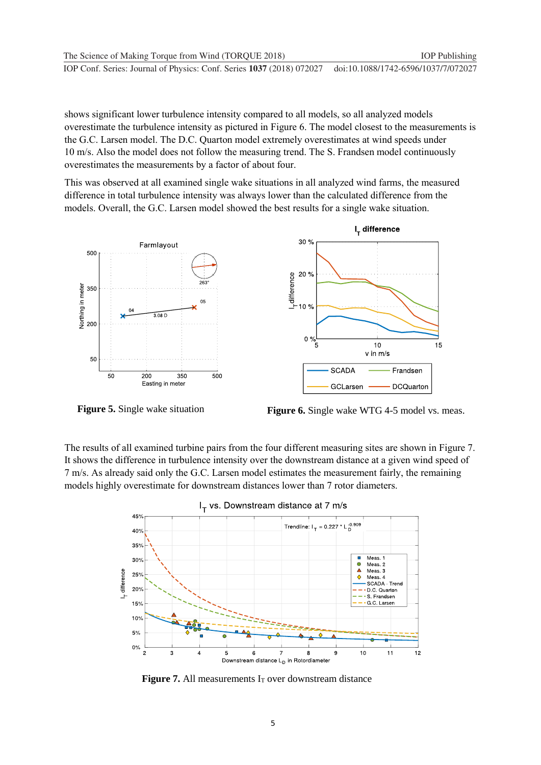shows significant lower turbulence intensity compared to all models, so all analyzed models overestimate the turbulence intensity as pictured in Figure 6. The model closest to the measurements is the G.C. Larsen model. The D.C. Quarton model extremely overestimates at wind speeds under 10 m/s. Also the model does not follow the measuring trend. The S. Frandsen model continuously overestimates the measurements by a factor of about four.

This was observed at all examined single wake situations in all analyzed wind farms, the measured difference in total turbulence intensity was always lower than the calculated difference from the models. Overall, the G.C. Larsen model showed the best results for a single wake situation.





**Figure 5.** Single wake situation **Figure 6.** Single wake WTG 4-5 model vs. meas.

The results of all examined turbine pairs from the four different measuring sites are shown in Figure 7. It shows the difference in turbulence intensity over the downstream distance at a given wind speed of 7 m/s. As already said only the G.C. Larsen model estimates the measurement fairly, the remaining models highly overestimate for downstream distances lower than 7 rotor diameters.



**Figure 7.** All measurements  $I_T$  over downstream distance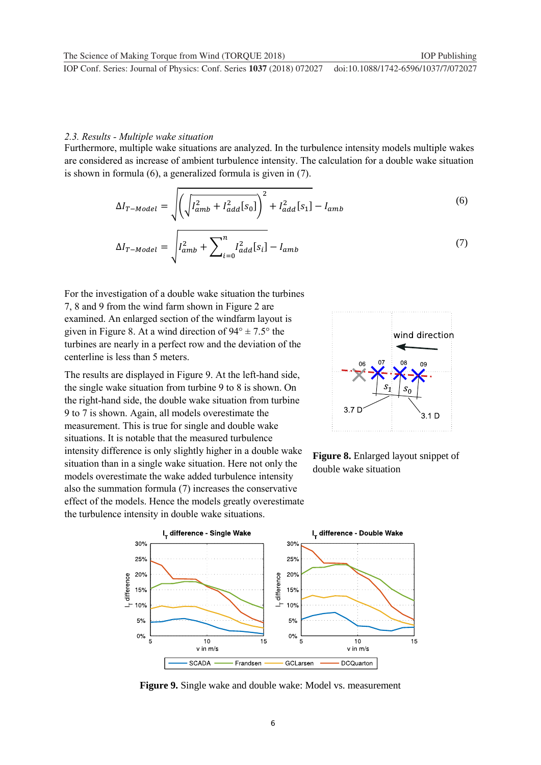#### *2.3. Results - Multiple wake situation*

Furthermore, multiple wake situations are analyzed. In the turbulence intensity models multiple wakes are considered as increase of ambient turbulence intensity. The calculation for a double wake situation is shown in formula (6), a generalized formula is given in (7).

$$
\Delta I_{T-Model} = \sqrt{\left(\sqrt{I_{amb}^2 + I_{add}^2[s_0]}\right)^2 + I_{add}^2[s_1] - I_{amb}}
$$
(6)

$$
\Delta I_{T-Model} = \sqrt{I_{amb}^2 + \sum_{i=0}^n I_{add}^2[s_i] - I_{amb}} \tag{7}
$$

For the investigation of a double wake situation the turbines 7, 8 and 9 from the wind farm shown in Figure 2 are examined. An enlarged section of the windfarm layout is given in Figure 8. At a wind direction of  $94^{\circ} \pm 7.5^{\circ}$  the turbines are nearly in a perfect row and the deviation of the centerline is less than 5 meters.

The results are displayed in Figure 9. At the left-hand side, the single wake situation from turbine 9 to 8 is shown. On the right-hand side, the double wake situation from turbine 9 to 7 is shown. Again, all models overestimate the measurement. This is true for single and double wake situations. It is notable that the measured turbulence intensity difference is only slightly higher in a double wake situation than in a single wake situation. Here not only the models overestimate the wake added turbulence intensity also the summation formula (7) increases the conservative effect of the models. Hence the models greatly overestimate the turbulence intensity in double wake situations.



**Figure 8.** Enlarged layout snippet of double wake situation



**Figure 9.** Single wake and double wake: Model vs. measurement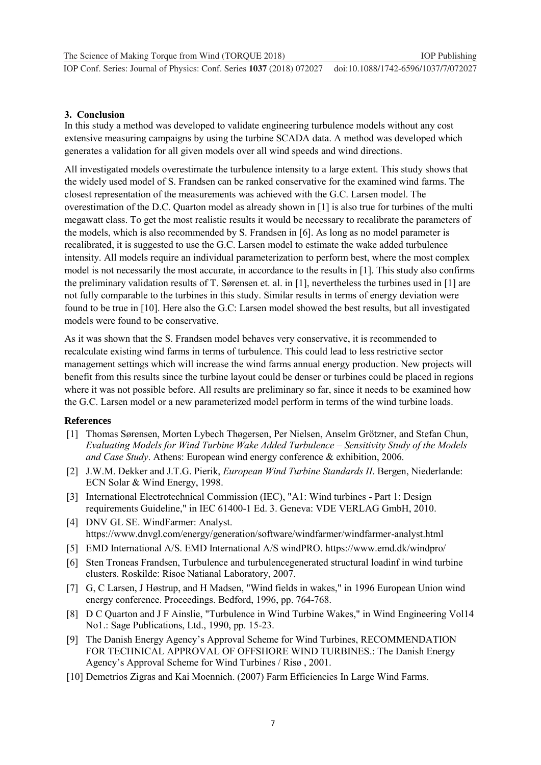# **3. Conclusion**

In this study a method was developed to validate engineering turbulence models without any cost extensive measuring campaigns by using the turbine SCADA data. A method was developed which generates a validation for all given models over all wind speeds and wind directions.

All investigated models overestimate the turbulence intensity to a large extent. This study shows that the widely used model of S. Frandsen can be ranked conservative for the examined wind farms. The closest representation of the measurements was achieved with the G.C. Larsen model. The overestimation of the D.C. Quarton model as already shown in [1] is also true for turbines of the multi megawatt class. To get the most realistic results it would be necessary to recalibrate the parameters of the models, which is also recommended by S. Frandsen in [6]. As long as no model parameter is recalibrated, it is suggested to use the G.C. Larsen model to estimate the wake added turbulence intensity. All models require an individual parameterization to perform best, where the most complex model is not necessarily the most accurate, in accordance to the results in [1]. This study also confirms the preliminary validation results of T. Sørensen et. al. in [1], nevertheless the turbines used in [1] are not fully comparable to the turbines in this study. Similar results in terms of energy deviation were found to be true in [10]. Here also the G.C: Larsen model showed the best results, but all investigated models were found to be conservative.

As it was shown that the S. Frandsen model behaves very conservative, it is recommended to recalculate existing wind farms in terms of turbulence. This could lead to less restrictive sector management settings which will increase the wind farms annual energy production. New projects will benefit from this results since the turbine layout could be denser or turbines could be placed in regions where it was not possible before. All results are preliminary so far, since it needs to be examined how the G.C. Larsen model or a new parameterized model perform in terms of the wind turbine loads.

### **References**

- [1] Thomas Sørensen, Morten Lybech Thøgersen, Per Nielsen, Anselm Grötzner, and Stefan Chun, *Evaluating Models for Wind Turbine Wake Added Turbulence – Sensitivity Study of the Models and Case Study*. Athens: European wind energy conference & exhibition, 2006.
- [2] J.W.M. Dekker and J.T.G. Pierik, *European Wind Turbine Standards II*. Bergen, Niederlande: ECN Solar & Wind Energy, 1998.
- [3] International Electrotechnical Commission (IEC), "A1: Wind turbines Part 1: Design requirements Guideline," in IEC 61400-1 Ed. 3. Geneva: VDE VERLAG GmbH, 2010.
- [4] DNV GL SE. WindFarmer: Analyst. https://www.dnvgl.com/energy/generation/software/windfarmer/windfarmer-analyst.html
- [5] EMD International A/S. EMD International A/S windPRO. https://www.emd.dk/windpro/
- [6] Sten Troneas Frandsen, Turbulence and turbulencegenerated structural loadinf in wind turbine clusters. Roskilde: Risoe Natianal Laboratory, 2007.
- [7] G, C Larsen, J Høstrup, and H Madsen, "Wind fields in wakes," in 1996 European Union wind energy conference. Proceedings. Bedford, 1996, pp. 764-768.
- [8] D C Quarton and J F Ainslie, "Turbulence in Wind Turbine Wakes," in Wind Engineering Vol14 No1.: Sage Publications, Ltd., 1990, pp. 15-23.
- [9] The Danish Energy Agency's Approval Scheme for Wind Turbines, RECOMMENDATION FOR TECHNICAL APPROVAL OF OFFSHORE WIND TURBINES.: The Danish Energy Agency's Approval Scheme for Wind Turbines / Risø , 2001.
- [10] Demetrios Zigras and Kai Moennich. (2007) Farm Efficiencies In Large Wind Farms.